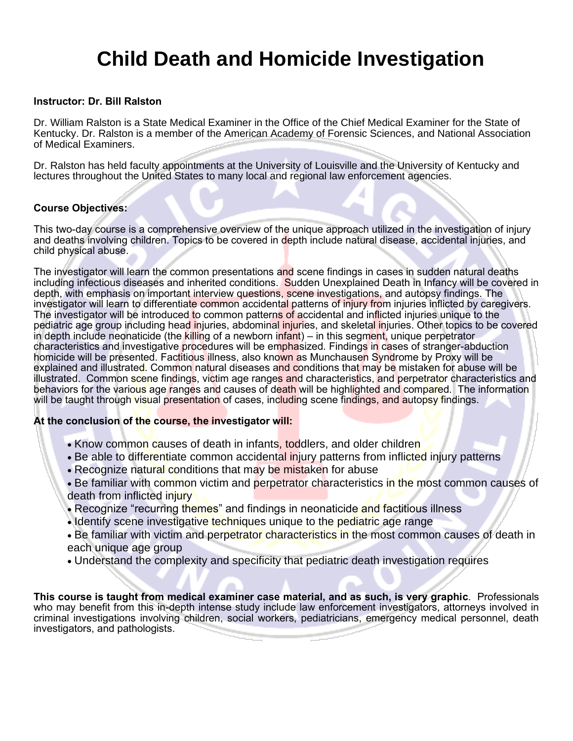## **Child Death and Homicide Investigation**

#### **Instructor: Dr. Bill Ralston**

Dr. William Ralston is a State Medical Examiner in the Office of the Chief Medical Examiner for the State of Kentucky. Dr. Ralston is a member of the American Academy of Forensic Sciences, and National Association of Medical Examiners.

Dr. Ralston has held faculty appointments at the University of Louisville and the University of Kentucky and lectures throughout the United States to many local and regional law enforcement agencies.

#### **Course Objectives:**

This two-day course is a comprehensive overview of the unique approach utilized in the investigation of injury and deaths involving children. Topics to be covered in depth include natural disease, accidental injuries, and child physical abuse.

The investigator will learn the common presentations and scene findings in cases in sudden natural deaths including infectious diseases and inherited conditions. Sudden Unexplained Death in Infancy will be covered in depth, with emphasis on important interview questions, scene investigations, and autopsy findings. The investigator will learn to differentiate common accidental patterns of injury from injuries inflicted by caregivers. The investigator will be introduced to common patterns of accidental and inflicted injuries unique to the pediatric age group including head injuries, abdominal injuries, and skeletal injuries. Other topics to be covered in depth include neonaticide (the killing of a newborn infant) – in this segment, unique perpetrator characteristics and investigative procedures will be emphasized. Findings in cases of stranger-abduction homicide will be presented. Factitious illness, also known as Munchausen Syndrome by Proxy will be explained and illustrated. Common natural diseases and conditions that may be mistaken for abuse will be illustrated. Common scene findings, victim age ranges and characteristics, and perpetrator characteristics and behaviors for the various age ranges and causes of death will be highlighted and compared. The information will be taught through visual presentation of cases, including scene findings, and autopsy findings.

#### **At the conclusion of the course, the investigator will:**

- Know common causes of death in infants, toddlers, and older children
- Be able to differentiate common accidental injury patterns from inflicted injury patterns
- Recognize natural conditions that may be mistaken for abuse
- Be familiar with common victim and perpetrator characteristics in the most common causes of death from inflicted injury
- Recognize "recurring themes" and findings in neonaticide and factitious illness
- Identify scene investigative techniques unique to the pediatric age range
- Be familiar with victim and perpetrator characteristics in the most common causes of death in each unique age group
- Understand the complexity and specificity that pediatric death investigation requires

**This course is taught from medical examiner case material, and as such, is very graphic**. Professionals who may benefit from this in-depth intense study include law enforcement investigators, attorneys involved in criminal investigations involving children, social workers, pediatricians, emergency medical personnel, death investigators, and pathologists.